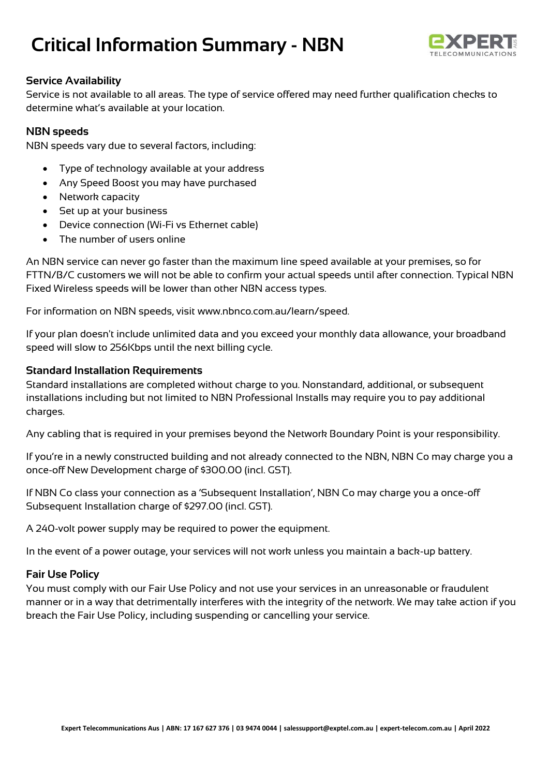# **Critical Information Summary - NBN**



## **Service Availability**

Service is not available to all areas. The type of service offered may need further qualification checks to determine what's available at your location.

### **NBN speeds**

NBN speeds vary due to several factors, including:

- Type of technology available at your address
- Any Speed Boost you may have purchased
- Network capacity
- Set up at your business
- Device connection (Wi-Fi vs Ethernet cable)
- The number of users online

An NBN service can never go faster than the maximum line speed available at your premises, so for FTTN/B/C customers we will not be able to confirm your actual speeds until after connection. Typical NBN Fixed Wireless speeds will be lower than other NBN access types.

For information on NBN speeds, visit www.nbnco.com.au/learn/speed.

If your plan doesn't include unlimited data and you exceed your monthly data allowance, your broadband speed will slow to 256Kbps until the next billing cycle.

### **Standard Installation Requirements**

Standard installations are completed without charge to you. Nonstandard, additional, or subsequent installations including but not limited to NBN Professional Installs may require you to pay additional charges.

Any cabling that is required in your premises beyond the Network Boundary Point is your responsibility.

If you're in a newly constructed building and not already connected to the NBN, NBN Co may charge you a once-off New Development charge of \$300.00 (incl. GST).

If NBN Co class your connection as a 'Subsequent Installation', NBN Co may charge you a once-off Subsequent Installation charge of \$297.00 (incl. GST).

A 240-volt power supply may be required to power the equipment.

In the event of a power outage, your services will not work unless you maintain a back-up battery.

### **Fair Use Policy**

You must comply with our Fair Use Policy and not use your services in an unreasonable or fraudulent manner or in a way that detrimentally interferes with the integrity of the network. We may take action if you breach the Fair Use Policy, including suspending or cancelling your service.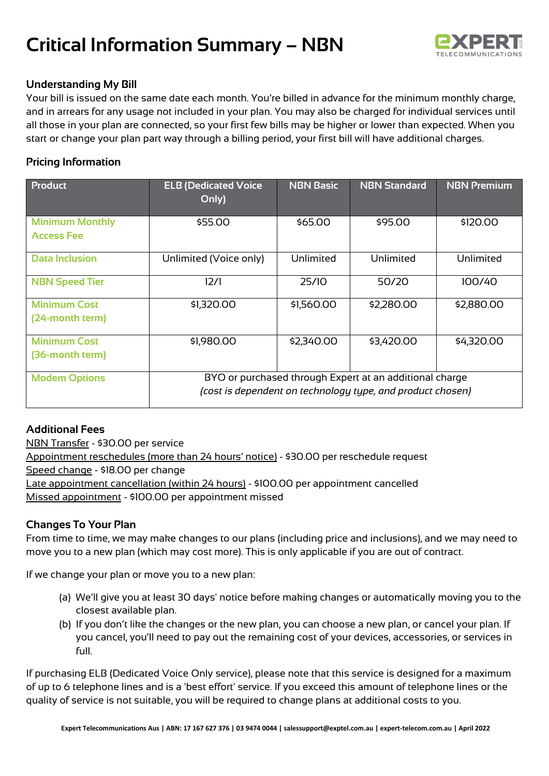# **Critical Information Summary – NBN**



## **Understanding My Bill**

Your bill is issued on the same date each month. You're billed in advance for the minimum monthly charge, and in arrears for any usage not included in your plan. You may also be charged for individual services until all those in your plan are connected, so your first few bills may be higher or lower than expected. When you start or change your plan part way through a billing period, your first bill will have additional charges.

## **Pricing Information**

| <b>Product</b>                              | <b>ELB (Dedicated Voice</b><br>Only)                                                                                  | <b>NBN Basic</b> | <b>NBN Standard</b> | <b>NBN Premium</b> |
|---------------------------------------------|-----------------------------------------------------------------------------------------------------------------------|------------------|---------------------|--------------------|
| <b>Minimum Monthly</b><br><b>Access Fee</b> | \$55.00                                                                                                               | \$65,00          | \$95.00             | \$120.00           |
| <b>Data Inclusion</b>                       | Unlimited (Voice only)                                                                                                | Unlimited        | Unlimited           | Unlimited          |
| <b>NBN Speed Tier</b>                       | 12/1                                                                                                                  | 25/10            | 50/20               | 100/40             |
| <b>Minimum Cost</b><br>(24-month term)      | \$1,320.00                                                                                                            | \$1,560.00       | \$2,280.00          | \$2,880.00         |
| <b>Minimum Cost</b><br>(36-month term)      | \$1,980.00                                                                                                            | \$2,340.00       | \$3,420.00          | \$4,320.00         |
| <b>Modem Options</b>                        | BYO or purchased through Expert at an additional charge<br>(cost is dependent on technology type, and product chosen) |                  |                     |                    |

## **Additional Fees**

NBN Transfer - \$30.00 per service Appointment reschedules (more than 24 hours' notice) - \$30.00 per reschedule request Speed change - \$18.00 per change Late appointment cancellation (within 24 hours) - \$100.00 per appointment cancelled Missed appointment - \$100.00 per appointment missed

## **Changes To Your Plan**

From time to time, we may make changes to our plans (including price and inclusions), and we may need to move you to a new plan (which may cost more). This is only applicable if you are out of contract.

If we change your plan or move you to a new plan:

- (a) We'll give you at least 30 days' notice before making changes or automatically moving you to the closest available plan.
- (b) If you don't like the changes or the new plan, you can choose a new plan, or cancel your plan. If you cancel, you'll need to pay out the remaining cost of your devices, accessories, or services in full.

If purchasing ELB (Dedicated Voice Only service), please note that this service is designed for a maximum of up to 6 telephone lines and is a 'best effort' service. If you exceed this amount of telephone lines or the quality of service is not suitable, you will be required to change plans at additional costs to you.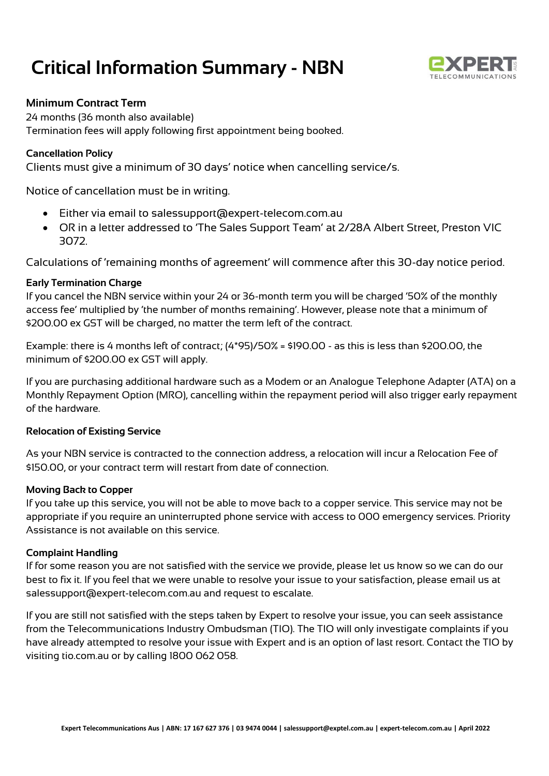## **Critical Information Summary - NBN**



## **Minimum Contract Term**

24 months (36 month also available) Termination fees will apply following first appointment being booked.

### **Cancellation Policy**

Clients must give a minimum of 30 days' notice when cancelling service/s.

Notice of cancellation must be in writing.

- Either via email to salessupport@expert-telecom.com.au
- OR in a letter addressed to 'The Sales Support Team' at 2/28A Albert Street, Preston VIC 3072.

Calculations of 'remaining months of agreement' will commence after this 30-day notice period.

### **Early Termination Charge**

If you cancel the NBN service within your 24 or 36-month term you will be charged '50% of the monthly access fee' multiplied by 'the number of months remaining'. However, please note that a minimum of \$200.00 ex GST will be charged, no matter the term left of the contract.

Example: there is 4 months left of contract; (4\*95)/50% = \$190.00 - as this is less than \$200.00, the minimum of \$200.00 ex GST will apply.

If you are purchasing additional hardware such as a Modem or an Analogue Telephone Adapter (ATA) on a Monthly Repayment Option (MRO), cancelling within the repayment period will also trigger early repayment of the hardware.

### **Relocation of Existing Service**

As your NBN service is contracted to the connection address, a relocation will incur a Relocation Fee of \$150.00, or your contract term will restart from date of connection.

### **Moving Back to Copper**

If you take up this service, you will not be able to move back to a copper service. This service may not be appropriate if you require an uninterrupted phone service with access to 000 emergency services. Priority Assistance is not available on this service.

### **Complaint Handling**

If for some reason you are not satisfied with the service we provide, please let us know so we can do our best to fix it. If you feel that we were unable to resolve your issue to your satisfaction, please email us at salessupport@expert-telecom.com.au and request to escalate.

If you are still not satisfied with the steps taken by Expert to resolve your issue, you can seek assistance from the Telecommunications Industry Ombudsman (TIO). The TIO will only investigate complaints if you have already attempted to resolve your issue with Expert and is an option of last resort. Contact the TIO by visiting tio.com.au or by calling 1800 062 058.